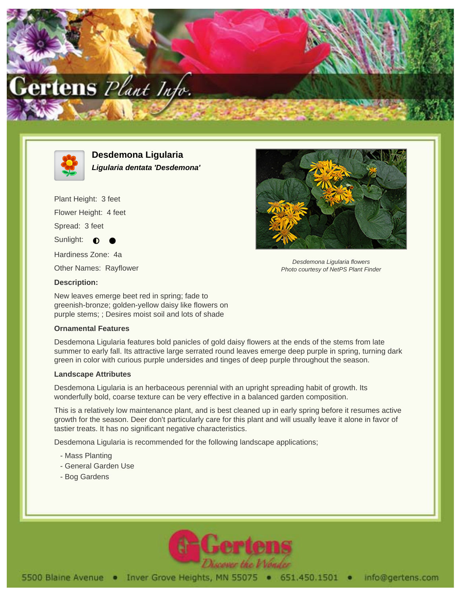



**Desdemona Ligularia Ligularia dentata 'Desdemona'**

Plant Height: 3 feet Flower Height: 4 feet Spread: 3 feet Sunlight:  $\bullet$ Hardiness Zone: 4a

Other Names: Rayflower



New leaves emerge beet red in spring; fade to greenish-bronze; golden-yellow daisy like flowers on purple stems; ; Desires moist soil and lots of shade

## **Ornamental Features**

Desdemona Ligularia features bold panicles of gold daisy flowers at the ends of the stems from late summer to early fall. Its attractive large serrated round leaves emerge deep purple in spring, turning dark green in color with curious purple undersides and tinges of deep purple throughout the season.

## **Landscape Attributes**

Desdemona Ligularia is an herbaceous perennial with an upright spreading habit of growth. Its wonderfully bold, coarse texture can be very effective in a balanced garden composition.

This is a relatively low maintenance plant, and is best cleaned up in early spring before it resumes active growth for the season. Deer don't particularly care for this plant and will usually leave it alone in favor of tastier treats. It has no significant negative characteristics.

Desdemona Ligularia is recommended for the following landscape applications;

- Mass Planting
- General Garden Use
- Bog Gardens





Desdemona Ligularia flowers Photo courtesy of NetPS Plant Finder